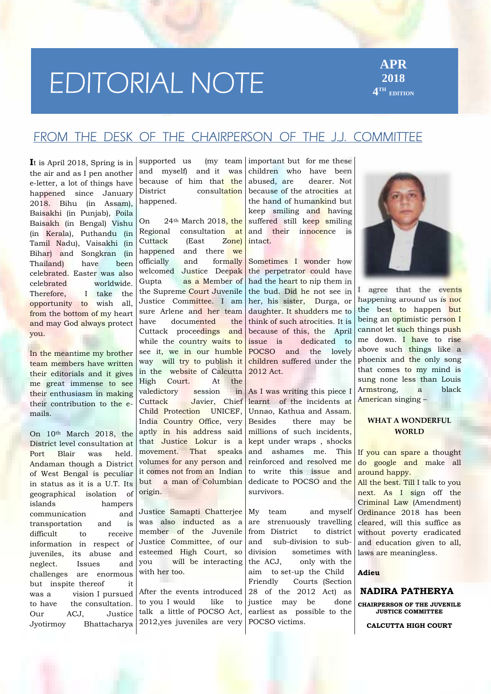# **FROM EDITORIAL NOTE**

**APR 2018 4 TH EDITION**

## **FROM THEDESK OF THE CHAIRPERSON OF THE J.J. COMMITTEE**

**I**t is April 2018, Spring is in the air and as I pen another e-letter, a lot of things have  $\left| \right|$  because happened since January 2018. Bihu (in Assam), Baisakhi (in Punjab), Poila Baisakh (in Bengal) Vishu  $\begin{array}{cc} \n\text{On} & 24 \\
\hline\n\end{array}$ (in Kerala), Puthandu (in Tamil Nadu), Vaisakhi (in Cuttack<br>Bihar) and Songkran (in happened Bihar) and Songkran (in happene Thailand) have been celebrated. Easter was also welcom<br>celebrated worldwide Gupta celebrated worldwide. Therefore, I take the opportunity to wish all, from the bottom of my heart sure and may God always protect you.

In the meantime my brother team members have written their editorials and it gives me great immense to see their enthusiasm in making valedicto their contribution to the e mails.

On 10th March 2018, the District level consultation at Port Blair was held. Andaman though a District of West Bengal is peculiar in status as it is a U.T. Its geographical isolation of islands hampers communication and transportation and is difficult to receive information in respect of juveniles, its abuse and esterned and  $\begin{vmatrix} 1 & 1 \\ 0 & 1 \end{vmatrix}$  and  $\begin{vmatrix} 1 & 0 \\ 0 & 0 \end{vmatrix}$  vou neglect. Issues and challenges are enormous but inspite thereof it was a vision I pursued to have the consultation. Our ACJ, Justice Jyotirmoy Bhattacharya

supported us (my team) and myself) and it was because of him that the consultation happened.

24<sup>th</sup> March 2018, the consultation at Cuttack (East Zone) and there we and formally welcomed Justice Deepak as a Member of the Supreme Court Juvenile Justice Committee. I am sure Arlene and her team documented the Cuttack proceedings and while the country waits to issue is see it, we in our humble way will try to publish it in the website of Calcutta High Court. At the valedictory session in Javier, Chief Child Protection UNICEF, India Country Office, very Besides aptly in his address said that Justice Lokur is a movement. That speaks volumes for any person and it comes not from an Indian but a man of Columbian origin.

Justice Samapti Chatterjee My team was also inducted as a member of the Juvenile Justice Committee, of our and esteemed High Court, so will be interacting the ACJ. with her too.

After the events introduced to you I would like to talk a little of POCSO Act, 2012,yes juveniles are very

important but for me these children who have been abused, are dearer. Not because of the atrocities at the hand of humankind but keep smiling and having suffered still keep smiling and their innocence is intact.

Sometimes I wonder how the perpetrator could have had the heart to nip them in the bud. Did he not see in her, his sister, Durga, or daughter. It shudders me to think of such atrocities. It is because of this, the April dedicated to POCSO and the lovely children suffered under the 2012 Act.

As I was writing this piece I learnt of the incidents at Unnao, Kathua and Assam. there may be millions of such incidents, kept under wraps , shocks and ashames me. This reinforced and resolved me to write this issue and dedicate to POCSO and the survivors.

and myself are strenuously travelling from District to district sub-division to subsometimes with only with the aim to set-up the Child Friendly Courts (Section 28 of the 2012 Act) as justice may be done earliest as possible to the POCSO victims.



I agree that the events happening around us is not the best to happen but being an **optimistic** person I cannot let such things push me down. I have to rise above such things like a phoenix and the only song that comes to my mind is sung none less than Louis Armstrong, a black American singing –

## **WHAT A WONDERFUL WORLD**

If you can spare a thought do google and make all around happy.

All the best. Till I talk to you next. As I sign off the Criminal Law (Amendment) Ordinance 2018 has been cleared, will this suffice as without poverty eradicated and education given to all, laws are meaningless.

### **Adieu**

## **NADIRA PATHERYA**

**CHAIRPERSON OF THE JUVENILE JUSTICE COMMITTEE**

**CALCUTTA HIGH COURT**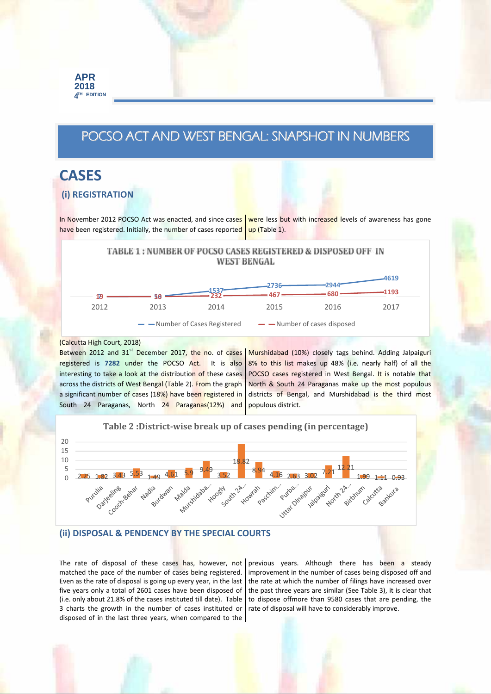## **POCSO ACT AND WEST BENGAL: SNAPSHOT IN NUMBERS**

# **CASES**

## **(i) REGISTRATION**

In November 2012 POCSO Act was enacted, and since cases were less but with increased levels of awareness has gone have been registered. Initially, the number of cases reported up (Table 1).

> TABLE 1: NUMBER OF POCSO CASES REGISTERED & DISPOSED OFF IN **WEST BENGAL**



#### (Calcutta High Court, 2018)

Between 2012 and 31<sup>st</sup> December 2017, the no. of cases registered is **7282** under the POCSO Act. It is also interesting to take a look at the distribution of these cases across the districts of West Bengal (Table 2). From the graph a significant number of cases (18%) have been registered in South 24 Paraganas, North 24 Paraganas(12%) and

Murshidabad (10%) closely tags behind. Adding Jalpaiguri 8% to this list makes up 48% (i.e. nearly half) of all the POCSO cases registered in West Bengal. It is notable that North & South 24 Paraganas make up the most populous districts of Bengal, and Murshidabad is the third most populous district.



### **(ii) DISPOSAL & PENDENCY BY THE SPECIAL COURTS**

The rate of disposal of these cases has, however, not matched the pace of the number of cases being registered. Even as the rate of disposal is going up every year, in the last five years only a total of 2601 cases have been disposed of (i.e. only about 21.8% of the cases instituted till date). Table 3 charts the growth in the number of cases instituted or disposed of in the last three years, when compared to the

previous years. Although there has been a steady improvement in the number of cases being disposed off and the rate at which the number of filings have increased over the past three years are similar (See Table 3), it is clear that to dispose offmore than 9580 cases that are pending, the rate of disposal will have to considerably improve.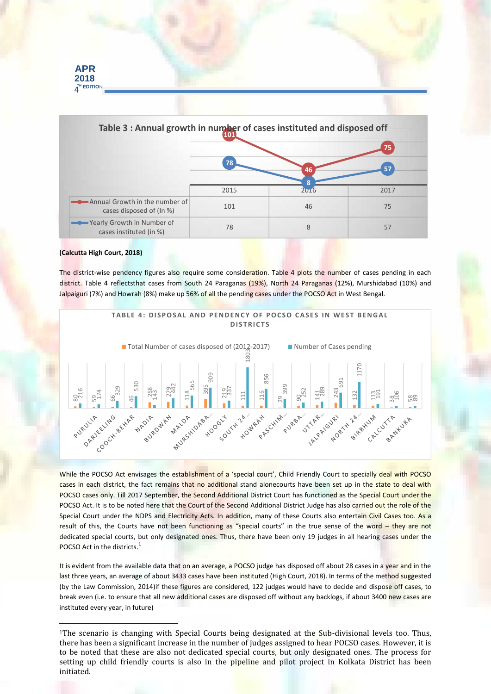

#### **(Calcutta High Court, 2018)**

**APR 2018**

The district-wise pendency figures also require some consideration. Table 4 plots the number of cases pending in each district. Table 4 reflectsthat cases from South 24 Paraganas (19%), North 24 Paraganas (12%), Murshidabad (10%) and Jalpaiguri (7%) and Howrah (8%) make up 56% of all the pending cases under the POCSO Act in West Bengal.



While the POCSO Act envisages the establishment of a 'special court', Child Friendly Court to specially deal with POCSO cases in each district, the fact remains that no additional stand alonecourts have been set up in the state to deal with POCSO cases only. Till 2017 September, the Second Additional District Court has functioned as the Special Court under the POCSO Act. It is to be noted here that the Court of the Second Additional District Judge has also carried out the role of the Special Court under the NDPS and Electricity Acts. In addition, many of these Courts also entertain Civil Cases too. As a result of this, the Courts have not been functioning as "special courts" in the true sense of the word – they are not dedicated special courts, but only designated ones. Thus, there have been only 19 judges in all hearing cases under the POCSO Act in the districts.<sup>1</sup>

It is evident from the available data that on an average, a POCSO judge has disposed off about 28 cases in a year and in the last three years, an average of about 3433 cases have been instituted (High Court, 2018). In terms of the method suggested (by the Law Commission, 2014)if these figures are considered, 122 judges would have to decide and dispose off cases, to break even (i.e. to ensure that all new additional cases are disposed off without any backlogs, if about 3400 new cases are instituted every year, in future)

<sup>&</sup>lt;sup>1</sup>The scenario is changing with Special Courts being designated at the Sub-divisional levels too. Thus, there has been a significant increase in the number of judges assigned to hear POCSO cases. However, it is to be noted that these are also not dedicated special courts, but only designated ones. The process for setting up child friendly courts is also in the pipeline and pilot project in Kolkata District has been initiated.